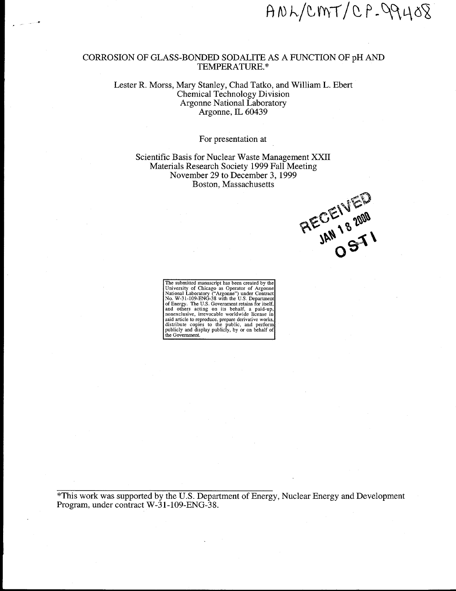$ANDCINT/CP-QQ408$ 

#### CORROSION OF GLASS-BONDED SODALITE AS A FUNCTION OF pH AND TEMPERATURE. \*

\*

..-

#### Lester R. Morss, Mary Stanley, Chad Tatko, and William L. Ebert Chemical Technology Division Argonne National Laboratory Argonne, IL 60439

#### For presentation at

Scientific Basis for Nuclear Waste Management XXII Materials Research Society 1999 Fall Meeting November 29 to December 3, 1999 Boston, Massachusetts

RECEIVED

The submitted manuscript has been created by the<br>University of Chicago as Operator of Argonne<br>National Laboratory ("Argonne") under Contract<br>No. W-31-109-ENG-38 with the U.S. Departmen<br>of Energy. The U.S. Government retain

\*This work was supported by the U.S. Department of Energy, Nuclear Energy and Development Program, under contract W-31-109-ENG-38.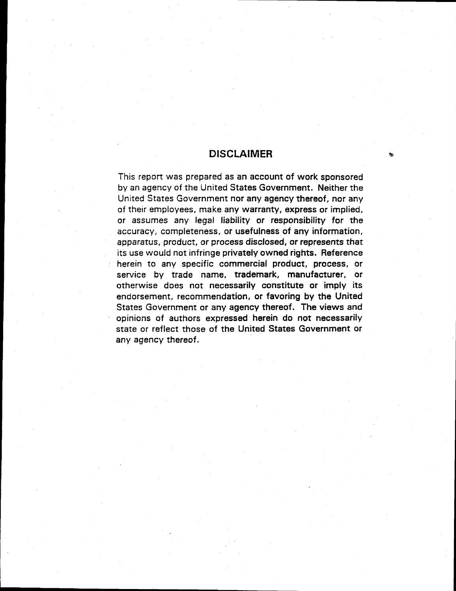# **DISCLAIMER**

**This report was prepared as an account of work sponsored byanagency of the United States Government. Neither the United States Government nor any agency thereof, nor any of their employees, make any warranty, express or impiied, or assumes any legal liability or responsibility for the accuracy, completeness, or usefulness of any information, apparatus, product, or process disclosed, or represents that** its use **would not infringe privately owned rights. Reference herein to any specific commercial product, process, or service by trade name, trademark, manufacturer, or otherwise does not necessarily constitute or imply its endorsement, recommendation, or favoring by the United States Government or any agency thereof. The views and opinions of authors expressed herein do not necessarily state or reflect those of the United States Government or any agency thereof.**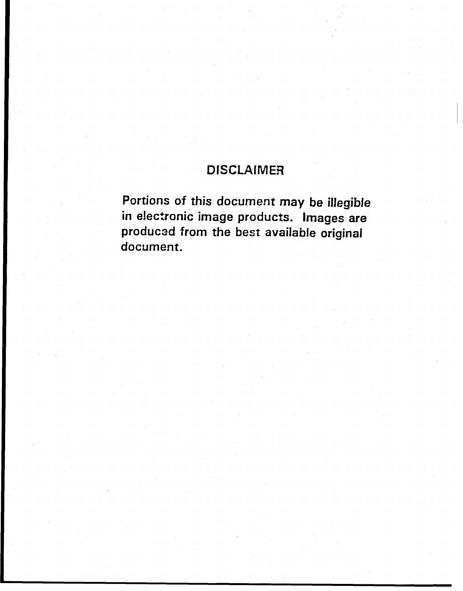# **DISCLAIMER**

Portions of this document may be illegible **in ektronic image products. Images are producsd from the best availabie originai document.**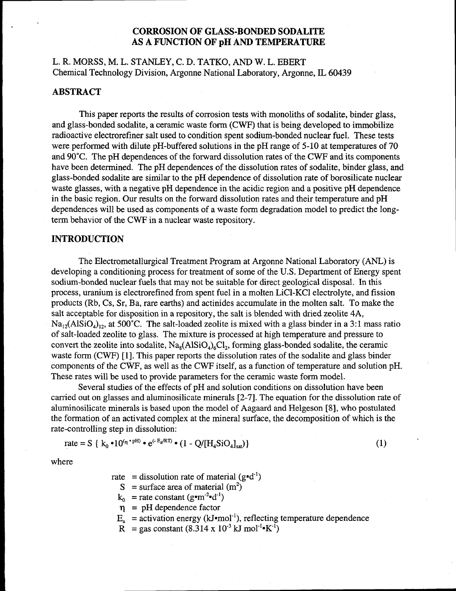# **CORROSION OF GLASS-BONDED SODALITE AS A FUNCTION OF pH AND TEMPERATURE**

# L. R. MORSS, M. L. STANLEY, C. D. TATKO, AND W. L. EBERT Chemical Technology Division, Argonne National Laboratory, Argonne, IL 60439

### **ABSTRACT**

This paper reports the results of corrosion tests with monoliths of sodalite, binder glass, and glass-bonded sodalite, a ceramic waste form (CWF) that is being developed to immobilize radioactive electrorefiner salt used to condition spent sodium-bonded nuclear fuel. These tests were performed with dilute pH-buffered solutions in the pH range of 5-10 at temperatures of 70 and 90°C. The pH dependences of the forward dissolution rates of the CWF and its components have been determined. The pH dependences of the dissolution rates of sodalite, binder glass, and glass-bonded sodalite are similar to the pH dependence of dissolution rate of borosilicate nuclear waste glasses, with a negative pH dependence in the acidic region and a positive pH dependence in the basic region. Our results on the forward dissolution rates and their temperature and pH dependences will be used as components of a waste form degradation model to predict the longterm behavior of the CWF in a nuclear waste repository.

#### **INTRODUCTION**

The Electrometallurgical Treatment Program at Argonne National Laboratory (ANL) is developing a conditioning process for treatment of some of the U.S. Department of Energy spent sodium-bonded nuclear fuels that may not be suitable for direct geological disposal. In this process, uranium is electrorefined from spent fuel in a molten LiCl-KCl electrolyte, and fission products (Rb, Cs, Sr, Ba, rare earths) and actinides accumulate in the molten salt. To make the salt acceptable for disposition in a repository, the salt is blended with dried zeolite 4A,  $Na<sub>12</sub>(AISiO<sub>4</sub>)<sub>12</sub>$ , at 500°C. The salt-loaded zeolite is mixed with a glass binder in a 3:1 mass ratio of salt-loaded zeolite to glass. The mixture is processed at high temperature and pressure to convert the zeolite into sodalite,  $\text{Na}_8(\text{AISiO}_4)_{6}\text{Cl}_2$ , forming glass-bonded sodalite, the ceramic waste form (CWF) [1]. This paper reports the dissolution rates of the sodalite and glass binder components of the CWF, as well as the CWF itself, as a function of temperature and solution pH. These rates will be used to provide parameters for the ceramic waste form model.

Several studies of the effects of pH and solution conditions on dissolution have been carried out on glasses and aluminosilicate minerals [2-7]. The equation for the dissolution rate of aluminosilicate minerals is based upon the model of Aagaard and Helgeson [8], who postulated the formation of an activated complex at the mineral surface, the decomposition of which is the rate-controlling step in dissolution:

$$
\text{rate} = S \{ k_0 \cdot 10^{(\eta \cdot \text{pH})} \cdot e^{(-E_2 / RT)} \cdot (1 - Q / [H_4 \text{SiO}_4]_{\text{sat}}) \} \tag{1}
$$

where

rate = dissolution rate of material  $(g \cdot d^{-1})$ 

 $S =$ surface area of material (m<sup>2</sup>)

 $k_0$  = rate constant (g•m<sup>-2</sup>•d<sup>-1</sup>)

- $\eta$  = pH dependence factor
- $E_a$  = activation energy (kJ•mol<sup>-1</sup>), reflecting temperature dependence
- $R$  = gas constant (8.314 x 10<sup>-3</sup> kJ mol<sup>-1</sup> <sup>\*</sup>K<sup>-1</sup>)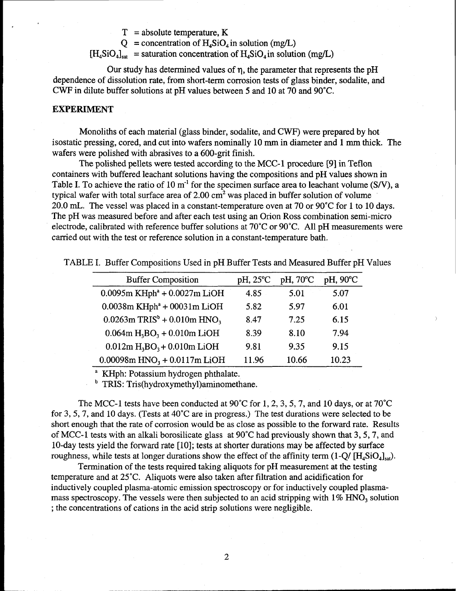$T = absolute temperature, K$ 

 $Q =$  concentration of  $H_4SiO_4$  in solution (mg/L)

 $[H_4SiO_4]_{\text{sat}}$  = saturation concentration of  $H_4SiO_4$  in solution (mg/L)

Our study has determined values of  $\eta$ , the parameter that represents the pH dependence of dissolution rate, from short-term corrosion tests of glass binder, sodalite, and CWF in dilute buffer solutions at pH values between 5 and 10 at 70 and 90"C.

#### **EXPERIMENT**

Monoliths of each material (glass binder, sodalite, and CWF) were prepared by hot isostatic pressing, cored, and cut into wafers nominally 10 mm in diameter and 1 mm thick. The wafers were polished with abrasives to a 600-grit finish.

The polished pellets were tested according to the MCC- 1 procedure [9] in Teflon containers with buffered leachant solutions having the compositions and pH values shown in Table I. To achieve the ratio of 10  $m^{-1}$  for the specimen surface area to leachant volume (S/V), a typical wafer with total surface area of  $2.00 \text{ cm}^2$  was placed in buffer solution of volume 20.0 mL. The vessel was placed in a constant-temperature oven at 70 or 90°C for 1 to 10 days. The pH was measured before and after each test using an Orion Ross combination semi-micro electrode, calibrated with reference buffer solutions at 70"C or 90"C. All pH measurements were carried out with the test or reference solution in a constant-temperature bath.

| <b>Buffer Composition</b>                               | pH, 25°C | pH, 70°C | pH, 90°C |
|---------------------------------------------------------|----------|----------|----------|
| $0.0095$ m KHph <sup>a</sup> + $0.0027$ m LiOH          | 4.85     | 5.01     | 5.07     |
| $0.0038$ m KHph <sup><math>a</math></sup> + 00031m LiOH | 5.82     | 5.97     | 6.01     |
| $0.0263$ m TRIS <sup>b</sup> + 0.010m HNO <sub>3</sub>  | 8.47     | 7.25     | 6.15     |
| $0.064$ m H <sub>3</sub> BO <sub>3</sub> + 0.010m LiOH  | 8.39     | 8.10     | 7.94     |
| $0.012m H3BO3 + 0.010m LiOH$                            | 9.81     | 9.35     | 9.15     |
| $0.00098$ m HNO <sub>3</sub> + $0.0117$ m LiOH          | 11.96    | 10.66    | 10.23    |

TABLE I. Buffer Compositions Used in pH Buffer Tests and Measured Buffer pH Values

<sup>a</sup> KHph: Potassium hydrogen phthalate.

TRIS: Tris(hydroxymethyl)aminomethane.

The MCC-1 tests have been conducted at 90°C for 1, 2, 3, 5, 7, and 10 days, or at 70°C for 3,5,7, and 10 days. (Tests at 40"C are in progress.) The test durations were selected to be short enough that the rate of corrosion would be as close as possible to the forward rate. Results of MCC-1 tests with an alkali borosilicate glass at  $90^{\circ}$ C had previously shown that 3, 5, 7, and 10-day tests yield the forward rate [10]; tests at shorter durations maybe affected by surface roughness, while tests at longer durations show the effect of the affinity term  $(1-Q/ [H<sub>4</sub>SiO<sub>4</sub>]<sub>sat</sub>)$ .

Termination of the tests required taking aliquots for pH measurement at the testing temperature and at 25"C. Aliquots were also taken after filtration and acidification for inductively coupled plasma-atomic emission spectroscopy or for inductively coupled plasmamass spectroscopy. The vessels were then subjected to an acid stripping with  $1\%$  HNO<sub>3</sub> solution ; the concentrations of cations in the acid strip solutions were negligible.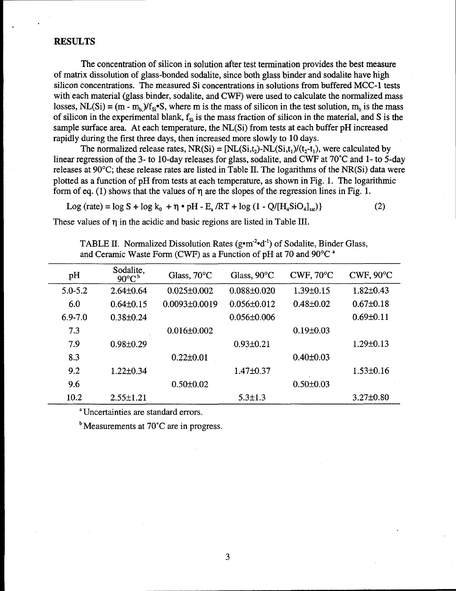#### **RESULTS**

.

The concentration of silicon in solution after test termination provides the best measure of matrix dissolution of glass-bonded sodalite, since both glass binder and sodalite have high silicon concentrations. The measured Si concentrations in solutions from buffered MCC-1 tests with each material (glass binder, sodalite, and CWF) were used to calculate the normalized mass losses, NL(Si) =  $(m - m_b)/f_{Si}$ •S, where m is the mass of silicon in the test solution, m<sub>b</sub> is the mass of silicon in the experimental blank,  $f_{si}$  is the mass fraction of silicon in the material, and S is the sample surface area. At each temperature, the NL(Si) from tests at each buffer pH increased rapidly during the first three days, then increased more slowly to 10 days.

The normalized release rates,  $NR(S_i) = [NL(S_i,t_i)-NL(S_i,t_i)/(t_i-t_i)]$ , were calculated by linear regression of the 3- to 10-day releases for glass, sodalite, and CWF at 70"C and 1- to 5-day releases at 90°C; these release rates are listed in Table II. The logarithms of the NR(Si) data were plotted as a function of pH from tests at each temperature, as shown in Fig. 1. The logarithmic form of eq. (1) shows that the values of  $\eta$  are the slopes of the regression lines in Fig. 1.

Log (rate) =  $\log S + \log k_0 + \eta \cdot pH - E_a /RT + \log (1 - Q/[H_aSiO_a]_{sat})$  (2)

These values of  $\eta$  in the acidic and basic regions are listed in Table III.

TABLE II. Normalized Dissolution Rates ( $g \cdot m^2 \cdot d^{-1}$ ) of Sodalite, Binder Glass, and Ceramic Waste Form (CWF) as a Function of pH at 70 and 90°C<sup>a</sup>

| pH          | Sodalite,<br>$90^{\circ}C^b$ | Glass, 70°C       | Glass, 90°C       | $CWF$ , $70^{\circ}C$ | $CWF$ , $90^{\circ}C$ |
|-------------|------------------------------|-------------------|-------------------|-----------------------|-----------------------|
| $5.0 - 5.2$ | $2.64 \pm 0.64$              | $0.025 \pm 0.002$ | $0.088 \pm 0.020$ | $1.39 \pm 0.15$       | $1.82{\pm}0.43$       |
| 6.0         | $0.64 \pm 0.15$              | $0.0093\pm0.0019$ | $0.056 \pm 0.012$ | $0.48 \pm 0.02$       | $0.67 \pm 0.18$       |
| $6.9 - 7.0$ | $0.38 \pm 0.24$              |                   | $0.056 \pm 0.006$ |                       | $0.69 \pm 0.11$       |
| 7.3         |                              | $0.016 \pm 0.002$ |                   | $0.19 \pm 0.03$       |                       |
| 7.9         | $0.98 \pm 0.29$              |                   | $0.93 \pm 0.21$   |                       | $1.29 \pm 0.13$       |
| 8.3         |                              | $0.22 \pm 0.01$   |                   | $0.40 \pm 0.03$       |                       |
| 9.2         | $1.22 \pm 0.34$              |                   | $1.47 \pm 0.37$   |                       | $1.53 \pm 0.16$       |
| 9.6         |                              | $0.50 \pm 0.02$   |                   | $0.50 \pm 0.03$       |                       |
| 10.2        | $2.55 \pm 1.21$              |                   | $5.3 \pm 1.3$     |                       | $3.27 \pm 0.80$       |

<sup>a</sup> Uncertainties are standard errors.

 $<sup>b</sup>$  Measurements at 70 $<sup>c</sup>$  are in progress.</sup></sup>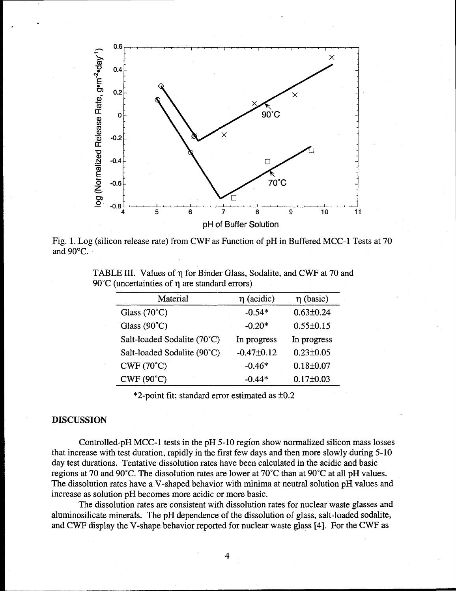

Fig. 1. Log (silicon release rate) from CWF as Function of pH in Buffered MCC-1 Tests at 70 and 90°C.

| TABLE III. Values of $\eta$ for Binder Glass, Sodalite, and CWF at 70 and |  |  |  |
|---------------------------------------------------------------------------|--|--|--|
| 90 $\degree$ C (uncertainties of $\eta$ are standard errors)              |  |  |  |

| Material                    | $\eta$ (acidic)  | $\eta$ (basic)  |
|-----------------------------|------------------|-----------------|
| Glass $(70^{\circ}C)$       | $-0.54*$         | $0.63 \pm 0.24$ |
| Glass $(90^{\circ}C)$       | $-0.20*$         | $0.55 \pm 0.15$ |
| Salt-loaded Sodalite (70°C) | In progress      | In progress     |
| Salt-loaded Sodalite (90°C) | $-0.47 \pm 0.12$ | $0.23 \pm 0.05$ |
| $CWF(70^{\circ}C)$          | $-0.46*$         | $0.18 \pm 0.07$ |
| $CWF(90^{\circ}C)$          | $-0.44*$         | $0.17 \pm 0.03$ |

 $*2$ -point fit; standard error estimated as  $\pm 0.2$ 

# **DISCUSSION**

.

Controlled-pH MCC-1 tests in the pH 5-10 region show normalized silicon mass losses that increase with test duration, rapidly in the first few days and then more slowly during 5-10 day test durations. Tentative dissolution rates have been calculated in the acidic and basic regions at 70 and 90"C. The dissolution rates are lower at 70"C than at 90°C at all pH values. The dissolution rates have a V-shaped behavior with minima at neutral solution pH values and increase as solution pH becomes more acidic or more basic.

The dissolution rates are consistent with dissolution rates for nuclear waste glasses and aluminosilicate minerals. The pH dependence of the dissolution of glass, salt-loaded sodalite, and CWF display the V-shape behavior reported for nuclear waste glass [4]. For the CWF as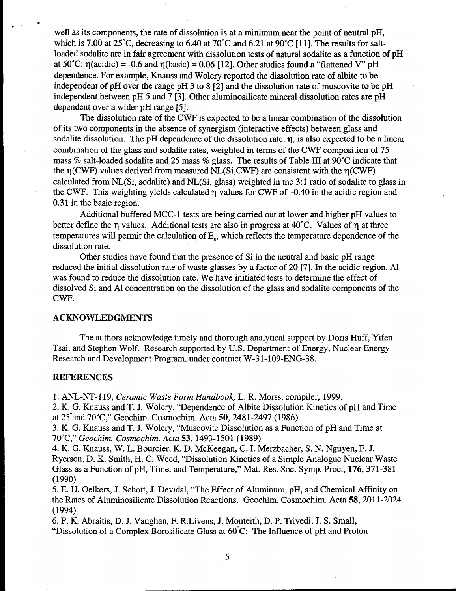well as its components, the rate of dissolution is at a minimum near the point of neutral pH, which is 7.00 at 25°C, decreasing to 6.40 at 70°C and 6.21 at 90°C [11]. The results for saltloaded sodalite are in fair agreement with dissolution tests of natural sodalite as a function of pH at 50°C:  $\eta(\text{acidic}) = -0.6$  and  $\eta(\text{basic}) = 0.06$  [12]. Other studies found a "flattened V" pH dependence. For example, Knauss and Wolery reported the dissolution rate of albite to be independent of pH over the range pH 3 to 8 [2] and the dissolution rate of muscovite to be pH independent between pH 5 and 7 [3]. Other aluminosilicate mineral dissolution rates are pH dependent over a wider pH range [5].

The dissolution rate of the CWF is expected to be a linear combination of the dissolution of its two components in the absence of synergism (interactive effects) between glass and sodalite dissolution. The pH dependence of the dissolution rate,  $\eta$ , is also expected to be a linear combination of the glass and sodalite rates, weighted in terms of the CWF composition of 75 mass % salt-loaded sodalite and 25 mass % glass. The results of Table III at 90°C indicate that the  $\eta$ (CWF) values derived from measured NL(Si,CWF) are consistent with the  $\eta$ (CWF) calculated from NL(Si, sodalite) and NL(Si, glass) weighted in the 3:1 ratio of sodalite to glass in the CWF. This weighting yields calculated  $\eta$  values for CWF of  $-0.40$  in the acidic region and 0.31 in the basic region.

Additional buffered MCC-1 tests are being carried out at lower and higher pH values to better define the  $\eta$  values. Additional tests are also in progress at 40°C. Values of  $\eta$  at three temperatures will permit the calculation of E., which reflects the temperature dependence of the dissolution rate.

Other studies have found that the presence of Si in the neutral and basic pH range reduced the initial dissolution rate of waste glasses by a factor of 20 [7]. In the acidic region, Al was found to reduce the dissolution rate. We have initiated tests to determine the effect of dissolved Si and Al concentration on the dissolution of the glass and sodalite components of the CWF.

#### **ACKNOWLEDGMENTS**

The authors acknowledge timely and thorough analytical support by Doris Huff, Yifen Tsai, and Stephen Wolf. Research supported by U.S. Department of Energy, Nuclear Energy Research and Development Program, under contract W-31 -109-ENG-38.

#### **REFERENCES**

.

.-

**1. ANL-NT-l 19,** *Ceramic Waste Form Handbook,* L. R. Morss, compiler, 1999.

2. K. G. Knauss and T. J. Wolery, "Dependence of Albite Dissolution Kinetics of pH and Time at 25°and 70"C," Geochim. Cosmochim. Acts 50,2481-2497 (1986)

3. K. G. Knauss and T. J. Wolery, "Muscovite Dissolution as a Function of pH and Time at 70°C~' *Geochim. Cosmochim. Acts* **53,1493-1501 (1989)**

*4.* K. G. Knauss, W. L. Bourcier, K. D. McKeegan, C. I. Merzbacher, S. N. Nguyen, F. J. Ryerson, D. K. Smith, H. C. Weed, "Dissolution Kinetics of a Simple Analogue Nuclear Waste Glass as a Function of pH, Time, and Temperature," Mat. Res. Soc. Symp. Proc., 176, 371-381 (1990)

5. E. H. Oelkers, J. Schott, J. Devidal, "The Effect of Aluminum, pH, and Chemical Affinity on the Rates of Aluminosilicate Dissolution Reactions. Geochim. Cosmochim. Acta 58, 2011-2024 (1994)

6. P. K. Abraitis, D. J. Vaughan, F. R.Livens, J. Monteith, D. P. Trivedi, J. S. Small, "Dissolution of a Complex Borosilicate Glass at 60"C: The Influence of pH and Proton